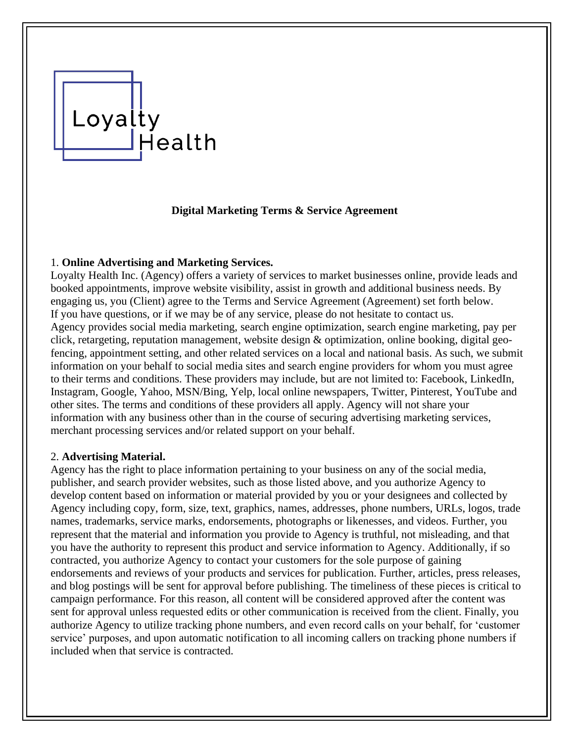# Loyalty  $\Box$ Health

# **Digital Marketing Terms & Service Agreement**

## 1. **Online Advertising and Marketing Services.**

Loyalty Health Inc. (Agency) offers a variety of services to market businesses online, provide leads and booked appointments, improve website visibility, assist in growth and additional business needs. By engaging us, you (Client) agree to the Terms and Service Agreement (Agreement) set forth below. If you have questions, or if we may be of any service, please do not hesitate to contact us. Agency provides social media marketing, search engine optimization, search engine marketing, pay per click, retargeting, reputation management, website design & optimization, online booking, digital geofencing, appointment setting, and other related services on a local and national basis. As such, we submit information on your behalf to social media sites and search engine providers for whom you must agree to their terms and conditions. These providers may include, but are not limited to: Facebook, LinkedIn, Instagram, Google, Yahoo, MSN/Bing, Yelp, local online newspapers, Twitter, Pinterest, YouTube and other sites. The terms and conditions of these providers all apply. Agency will not share your information with any business other than in the course of securing advertising marketing services, merchant processing services and/or related support on your behalf.

### 2. **Advertising Material.**

Agency has the right to place information pertaining to your business on any of the social media, publisher, and search provider websites, such as those listed above, and you authorize Agency to develop content based on information or material provided by you or your designees and collected by Agency including copy, form, size, text, graphics, names, addresses, phone numbers, URLs, logos, trade names, trademarks, service marks, endorsements, photographs or likenesses, and videos. Further, you represent that the material and information you provide to Agency is truthful, not misleading, and that you have the authority to represent this product and service information to Agency. Additionally, if so contracted, you authorize Agency to contact your customers for the sole purpose of gaining endorsements and reviews of your products and services for publication. Further, articles, press releases, and blog postings will be sent for approval before publishing. The timeliness of these pieces is critical to campaign performance. For this reason, all content will be considered approved after the content was sent for approval unless requested edits or other communication is received from the client. Finally, you authorize Agency to utilize tracking phone numbers, and even record calls on your behalf, for 'customer service' purposes, and upon automatic notification to all incoming callers on tracking phone numbers if included when that service is contracted.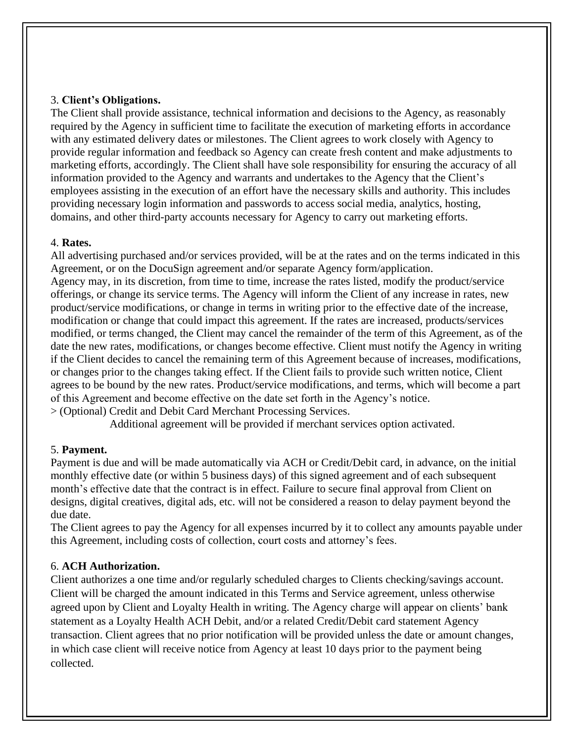## 3. **Client's Obligations.**

The Client shall provide assistance, technical information and decisions to the Agency, as reasonably required by the Agency in sufficient time to facilitate the execution of marketing efforts in accordance with any estimated delivery dates or milestones. The Client agrees to work closely with Agency to provide regular information and feedback so Agency can create fresh content and make adjustments to marketing efforts, accordingly. The Client shall have sole responsibility for ensuring the accuracy of all information provided to the Agency and warrants and undertakes to the Agency that the Client's employees assisting in the execution of an effort have the necessary skills and authority. This includes providing necessary login information and passwords to access social media, analytics, hosting, domains, and other third-party accounts necessary for Agency to carry out marketing efforts.

## 4. **Rates.**

All advertising purchased and/or services provided, will be at the rates and on the terms indicated in this Agreement, or on the DocuSign agreement and/or separate Agency form/application. Agency may, in its discretion, from time to time, increase the rates listed, modify the product/service offerings, or change its service terms. The Agency will inform the Client of any increase in rates, new product/service modifications, or change in terms in writing prior to the effective date of the increase, modification or change that could impact this agreement. If the rates are increased, products/services modified, or terms changed, the Client may cancel the remainder of the term of this Agreement, as of the date the new rates, modifications, or changes become effective. Client must notify the Agency in writing if the Client decides to cancel the remaining term of this Agreement because of increases, modifications, or changes prior to the changes taking effect. If the Client fails to provide such written notice, Client agrees to be bound by the new rates. Product/service modifications, and terms, which will become a part of this Agreement and become effective on the date set forth in the Agency's notice. > (Optional) Credit and Debit Card Merchant Processing Services.

Additional agreement will be provided if merchant services option activated.

### 5. **Payment.**

Payment is due and will be made automatically via ACH or Credit/Debit card, in advance, on the initial monthly effective date (or within 5 business days) of this signed agreement and of each subsequent month's effective date that the contract is in effect. Failure to secure final approval from Client on designs, digital creatives, digital ads, etc. will not be considered a reason to delay payment beyond the due date.

The Client agrees to pay the Agency for all expenses incurred by it to collect any amounts payable under this Agreement, including costs of collection, court costs and attorney's fees.

# 6. **ACH Authorization.**

Client authorizes a one time and/or regularly scheduled charges to Clients checking/savings account. Client will be charged the amount indicated in this Terms and Service agreement, unless otherwise agreed upon by Client and Loyalty Health in writing. The Agency charge will appear on clients' bank statement as a Loyalty Health ACH Debit, and/or a related Credit/Debit card statement Agency transaction. Client agrees that no prior notification will be provided unless the date or amount changes, in which case client will receive notice from Agency at least 10 days prior to the payment being collected.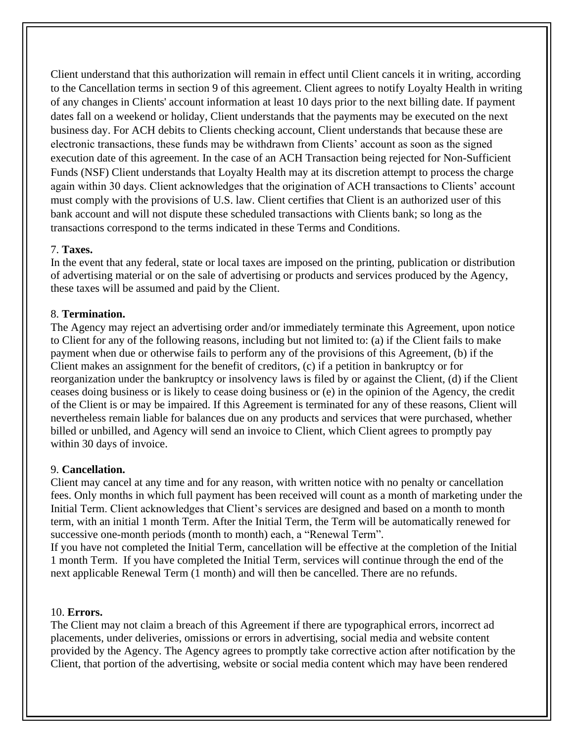Client understand that this authorization will remain in effect until Client cancels it in writing, according to the Cancellation terms in section 9 of this agreement. Client agrees to notify Loyalty Health in writing of any changes in Clients' account information at least 10 days prior to the next billing date. If payment dates fall on a weekend or holiday, Client understands that the payments may be executed on the next business day. For ACH debits to Clients checking account, Client understands that because these are electronic transactions, these funds may be withdrawn from Clients' account as soon as the signed execution date of this agreement. In the case of an ACH Transaction being rejected for Non-Sufficient Funds (NSF) Client understands that Loyalty Health may at its discretion attempt to process the charge again within 30 days. Client acknowledges that the origination of ACH transactions to Clients' account must comply with the provisions of U.S. law. Client certifies that Client is an authorized user of this bank account and will not dispute these scheduled transactions with Clients bank; so long as the transactions correspond to the terms indicated in these Terms and Conditions.

#### 7. **Taxes.**

In the event that any federal, state or local taxes are imposed on the printing, publication or distribution of advertising material or on the sale of advertising or products and services produced by the Agency, these taxes will be assumed and paid by the Client.

### 8. **Termination.**

The Agency may reject an advertising order and/or immediately terminate this Agreement, upon notice to Client for any of the following reasons, including but not limited to: (a) if the Client fails to make payment when due or otherwise fails to perform any of the provisions of this Agreement, (b) if the Client makes an assignment for the benefit of creditors, (c) if a petition in bankruptcy or for reorganization under the bankruptcy or insolvency laws is filed by or against the Client, (d) if the Client ceases doing business or is likely to cease doing business or (e) in the opinion of the Agency, the credit of the Client is or may be impaired. If this Agreement is terminated for any of these reasons, Client will nevertheless remain liable for balances due on any products and services that were purchased, whether billed or unbilled, and Agency will send an invoice to Client, which Client agrees to promptly pay within 30 days of invoice.

### 9. **Cancellation.**

Client may cancel at any time and for any reason, with written notice with no penalty or cancellation fees. Only months in which full payment has been received will count as a month of marketing under the Initial Term. Client acknowledges that Client's services are designed and based on a month to month term, with an initial 1 month Term. After the Initial Term, the Term will be automatically renewed for successive one-month periods (month to month) each, a "Renewal Term".

If you have not completed the Initial Term, cancellation will be effective at the completion of the Initial 1 month Term. If you have completed the Initial Term, services will continue through the end of the next applicable Renewal Term (1 month) and will then be cancelled. There are no refunds.

#### 10. **Errors.**

The Client may not claim a breach of this Agreement if there are typographical errors, incorrect ad placements, under deliveries, omissions or errors in advertising, social media and website content provided by the Agency. The Agency agrees to promptly take corrective action after notification by the Client, that portion of the advertising, website or social media content which may have been rendered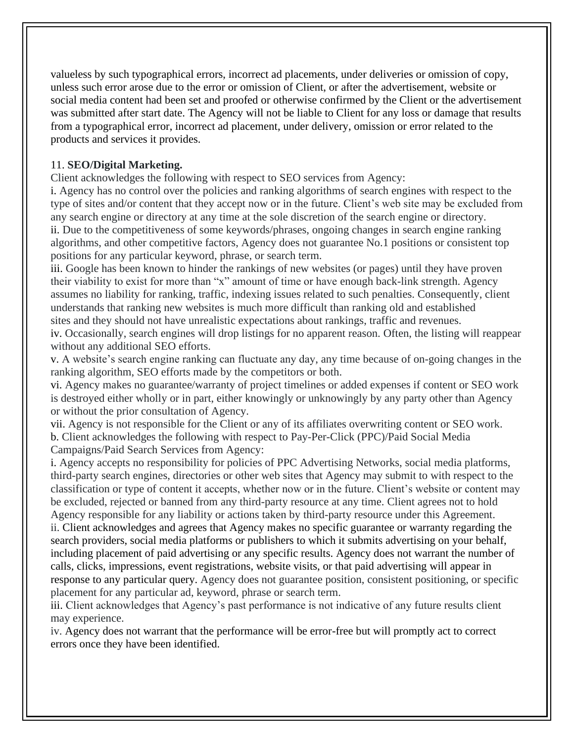valueless by such typographical errors, incorrect ad placements, under deliveries or omission of copy, unless such error arose due to the error or omission of Client, or after the advertisement, website or social media content had been set and proofed or otherwise confirmed by the Client or the advertisement was submitted after start date. The Agency will not be liable to Client for any loss or damage that results from a typographical error, incorrect ad placement, under delivery, omission or error related to the products and services it provides.

# 11. **SEO/Digital Marketing.**

Client acknowledges the following with respect to SEO services from Agency:

i. Agency has no control over the policies and ranking algorithms of search engines with respect to the type of sites and/or content that they accept now or in the future. Client's web site may be excluded from any search engine or directory at any time at the sole discretion of the search engine or directory. ii. Due to the competitiveness of some keywords/phrases, ongoing changes in search engine ranking algorithms, and other competitive factors, Agency does not guarantee No.1 positions or consistent top positions for any particular keyword, phrase, or search term.

iii. Google has been known to hinder the rankings of new websites (or pages) until they have proven their viability to exist for more than "x" amount of time or have enough back-link strength. Agency assumes no liability for ranking, traffic, indexing issues related to such penalties. Consequently, client understands that ranking new websites is much more difficult than ranking old and established sites and they should not have unrealistic expectations about rankings, traffic and revenues.

iv. Occasionally, search engines will drop listings for no apparent reason. Often, the listing will reappear without any additional SEO efforts.

v. A website's search engine ranking can fluctuate any day, any time because of on-going changes in the ranking algorithm, SEO efforts made by the competitors or both.

vi. Agency makes no guarantee/warranty of project timelines or added expenses if content or SEO work is destroyed either wholly or in part, either knowingly or unknowingly by any party other than Agency or without the prior consultation of Agency.

vii. Agency is not responsible for the Client or any of its affiliates overwriting content or SEO work. b. Client acknowledges the following with respect to Pay-Per-Click (PPC)/Paid Social Media Campaigns/Paid Search Services from Agency:

i. Agency accepts no responsibility for policies of PPC Advertising Networks, social media platforms, third-party search engines, directories or other web sites that Agency may submit to with respect to the classification or type of content it accepts, whether now or in the future. Client's website or content may be excluded, rejected or banned from any third-party resource at any time. Client agrees not to hold Agency responsible for any liability or actions taken by third-party resource under this Agreement. ii. Client acknowledges and agrees that Agency makes no specific guarantee or warranty regarding the search providers, social media platforms or publishers to which it submits advertising on your behalf, including placement of paid advertising or any specific results. Agency does not warrant the number of calls, clicks, impressions, event registrations, website visits, or that paid advertising will appear in response to any particular query. Agency does not guarantee position, consistent positioning, or specific placement for any particular ad, keyword, phrase or search term.

iii. Client acknowledges that Agency's past performance is not indicative of any future results client may experience.

iv. Agency does not warrant that the performance will be error-free but will promptly act to correct errors once they have been identified.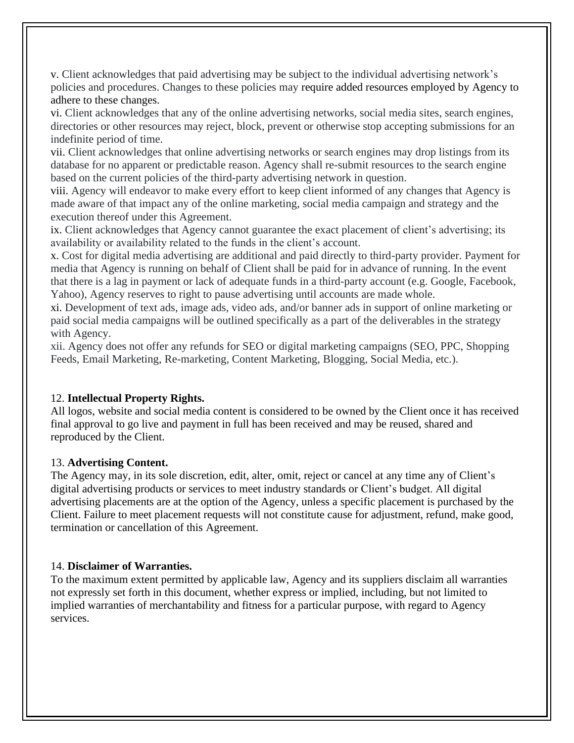v. Client acknowledges that paid advertising may be subject to the individual advertising network's policies and procedures. Changes to these policies may require added resources employed by Agency to adhere to these changes.

vi. Client acknowledges that any of the online advertising networks, social media sites, search engines, directories or other resources may reject, block, prevent or otherwise stop accepting submissions for an indefinite period of time.

vii. Client acknowledges that online advertising networks or search engines may drop listings from its database for no apparent or predictable reason. Agency shall re-submit resources to the search engine based on the current policies of the third-party advertising network in question.

viii. Agency will endeavor to make every effort to keep client informed of any changes that Agency is made aware of that impact any of the online marketing, social media campaign and strategy and the execution thereof under this Agreement.

ix. Client acknowledges that Agency cannot guarantee the exact placement of client's advertising; its availability or availability related to the funds in the client's account.

x. Cost for digital media advertising are additional and paid directly to third-party provider. Payment for media that Agency is running on behalf of Client shall be paid for in advance of running. In the event that there is a lag in payment or lack of adequate funds in a third-party account (e.g. Google, Facebook, Yahoo), Agency reserves to right to pause advertising until accounts are made whole.

xi. Development of text ads, image ads, video ads, and/or banner ads in support of online marketing or paid social media campaigns will be outlined specifically as a part of the deliverables in the strategy with Agency.

xii. Agency does not offer any refunds for SEO or digital marketing campaigns (SEO, PPC, Shopping Feeds, Email Marketing, Re-marketing, Content Marketing, Blogging, Social Media, etc.).

# 12. **Intellectual Property Rights.**

All logos, website and social media content is considered to be owned by the Client once it has received final approval to go live and payment in full has been received and may be reused, shared and reproduced by the Client.

### 13. **Advertising Content.**

The Agency may, in its sole discretion, edit, alter, omit, reject or cancel at any time any of Client's digital advertising products or services to meet industry standards or Client's budget. All digital advertising placements are at the option of the Agency, unless a specific placement is purchased by the Client. Failure to meet placement requests will not constitute cause for adjustment, refund, make good, termination or cancellation of this Agreement.

### 14. **Disclaimer of Warranties.**

To the maximum extent permitted by applicable law, Agency and its suppliers disclaim all warranties not expressly set forth in this document, whether express or implied, including, but not limited to implied warranties of merchantability and fitness for a particular purpose, with regard to Agency services.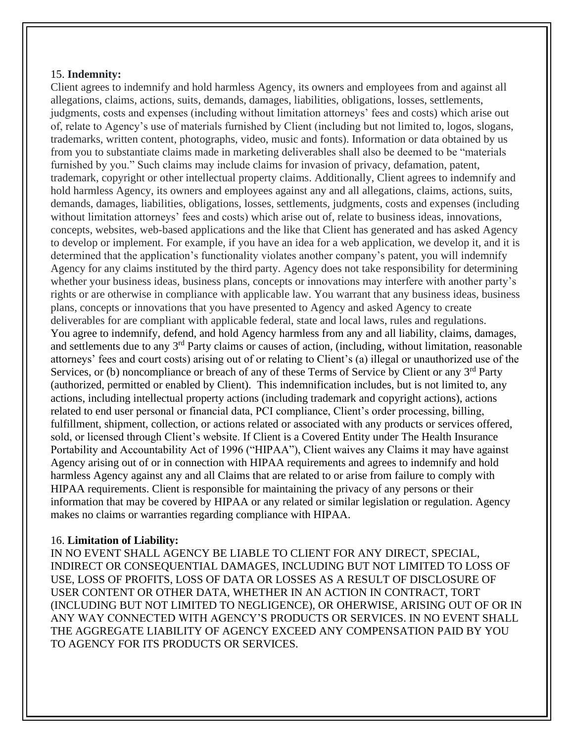## 15. **Indemnity:**

Client agrees to indemnify and hold harmless Agency, its owners and employees from and against all allegations, claims, actions, suits, demands, damages, liabilities, obligations, losses, settlements, judgments, costs and expenses (including without limitation attorneys' fees and costs) which arise out of, relate to Agency's use of materials furnished by Client (including but not limited to, logos, slogans, trademarks, written content, photographs, video, music and fonts). Information or data obtained by us from you to substantiate claims made in marketing deliverables shall also be deemed to be "materials furnished by you." Such claims may include claims for invasion of privacy, defamation, patent, trademark, copyright or other intellectual property claims. Additionally, Client agrees to indemnify and hold harmless Agency, its owners and employees against any and all allegations, claims, actions, suits, demands, damages, liabilities, obligations, losses, settlements, judgments, costs and expenses (including without limitation attorneys' fees and costs) which arise out of, relate to business ideas, innovations, concepts, websites, web-based applications and the like that Client has generated and has asked Agency to develop or implement. For example, if you have an idea for a web application, we develop it, and it is determined that the application's functionality violates another company's patent, you will indemnify Agency for any claims instituted by the third party. Agency does not take responsibility for determining whether your business ideas, business plans, concepts or innovations may interfere with another party's rights or are otherwise in compliance with applicable law. You warrant that any business ideas, business plans, concepts or innovations that you have presented to Agency and asked Agency to create deliverables for are compliant with applicable federal, state and local laws, rules and regulations. You agree to indemnify, defend, and hold Agency harmless from any and all liability, claims, damages, and settlements due to any 3rd Party claims or causes of action, (including, without limitation, reasonable attorneys' fees and court costs) arising out of or relating to Client's (a) illegal or unauthorized use of the Services, or (b) noncompliance or breach of any of these Terms of Service by Client or any 3<sup>rd</sup> Party (authorized, permitted or enabled by Client). This indemnification includes, but is not limited to, any actions, including intellectual property actions (including trademark and copyright actions), actions related to end user personal or financial data, PCI compliance, Client's order processing, billing, fulfillment, shipment, collection, or actions related or associated with any products or services offered, sold, or licensed through Client's website. If Client is a Covered Entity under The Health Insurance Portability and Accountability Act of 1996 ("HIPAA"), Client waives any Claims it may have against Agency arising out of or in connection with HIPAA requirements and agrees to indemnify and hold harmless Agency against any and all Claims that are related to or arise from failure to comply with HIPAA requirements. Client is responsible for maintaining the privacy of any persons or their information that may be covered by HIPAA or any related or similar legislation or regulation. Agency makes no claims or warranties regarding compliance with HIPAA.

# 16. **Limitation of Liability:**

IN NO EVENT SHALL AGENCY BE LIABLE TO CLIENT FOR ANY DIRECT, SPECIAL, INDIRECT OR CONSEQUENTIAL DAMAGES, INCLUDING BUT NOT LIMITED TO LOSS OF USE, LOSS OF PROFITS, LOSS OF DATA OR LOSSES AS A RESULT OF DISCLOSURE OF USER CONTENT OR OTHER DATA, WHETHER IN AN ACTION IN CONTRACT, TORT (INCLUDING BUT NOT LIMITED TO NEGLIGENCE), OR OHERWISE, ARISING OUT OF OR IN ANY WAY CONNECTED WITH AGENCY'S PRODUCTS OR SERVICES. IN NO EVENT SHALL THE AGGREGATE LIABILITY OF AGENCY EXCEED ANY COMPENSATION PAID BY YOU TO AGENCY FOR ITS PRODUCTS OR SERVICES.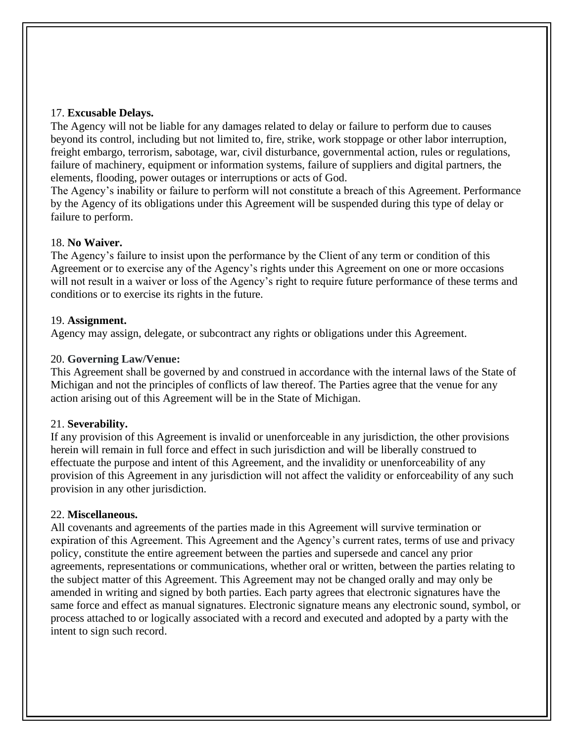#### 17. **Excusable Delays.**

The Agency will not be liable for any damages related to delay or failure to perform due to causes beyond its control, including but not limited to, fire, strike, work stoppage or other labor interruption, freight embargo, terrorism, sabotage, war, civil disturbance, governmental action, rules or regulations, failure of machinery, equipment or information systems, failure of suppliers and digital partners, the elements, flooding, power outages or interruptions or acts of God.

The Agency's inability or failure to perform will not constitute a breach of this Agreement. Performance by the Agency of its obligations under this Agreement will be suspended during this type of delay or failure to perform.

#### 18. **No Waiver.**

The Agency's failure to insist upon the performance by the Client of any term or condition of this Agreement or to exercise any of the Agency's rights under this Agreement on one or more occasions will not result in a waiver or loss of the Agency's right to require future performance of these terms and conditions or to exercise its rights in the future.

#### 19. **Assignment.**

Agency may assign, delegate, or subcontract any rights or obligations under this Agreement.

#### 20. **Governing Law/Venue:**

This Agreement shall be governed by and construed in accordance with the internal laws of the State of Michigan and not the principles of conflicts of law thereof. The Parties agree that the venue for any action arising out of this Agreement will be in the State of Michigan.

### 21. **Severability.**

If any provision of this Agreement is invalid or unenforceable in any jurisdiction, the other provisions herein will remain in full force and effect in such jurisdiction and will be liberally construed to effectuate the purpose and intent of this Agreement, and the invalidity or unenforceability of any provision of this Agreement in any jurisdiction will not affect the validity or enforceability of any such provision in any other jurisdiction.

#### 22. **Miscellaneous.**

All covenants and agreements of the parties made in this Agreement will survive termination or expiration of this Agreement. This Agreement and the Agency's current rates, terms of use and privacy policy, constitute the entire agreement between the parties and supersede and cancel any prior agreements, representations or communications, whether oral or written, between the parties relating to the subject matter of this Agreement. This Agreement may not be changed orally and may only be amended in writing and signed by both parties. Each party agrees that electronic signatures have the same force and effect as manual signatures. Electronic signature means any electronic sound, symbol, or process attached to or logically associated with a record and executed and adopted by a party with the intent to sign such record.